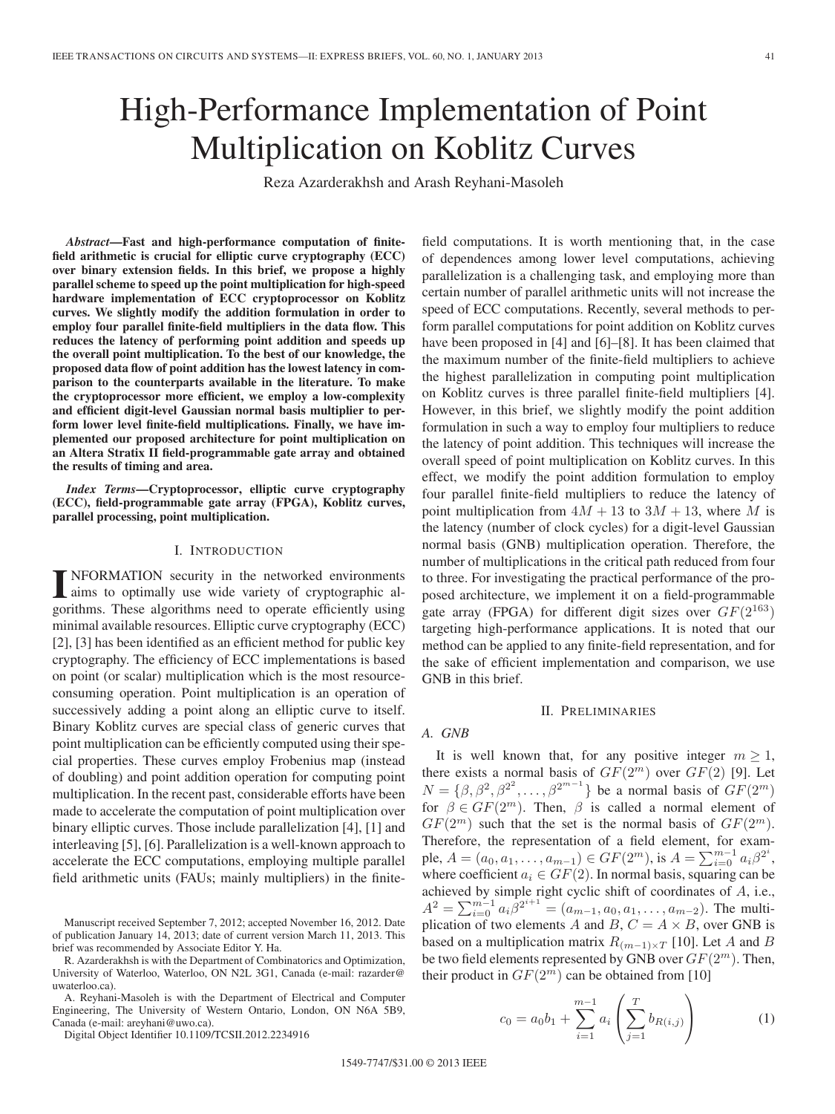# High-Performance Implementation of Point Multiplication on Koblitz Curves

Reza Azarderakhsh and Arash Reyhani-Masoleh

*Abstract***—Fast and high-performance computation of finitefield arithmetic is crucial for elliptic curve cryptography (ECC) over binary extension fields. In this brief, we propose a highly parallel scheme to speed up the point multiplication for high-speed hardware implementation of ECC cryptoprocessor on Koblitz curves. We slightly modify the addition formulation in order to employ four parallel finite-field multipliers in the data flow. This reduces the latency of performing point addition and speeds up the overall point multiplication. To the best of our knowledge, the proposed data flow of point addition has the lowest latency in comparison to the counterparts available in the literature. To make the cryptoprocessor more efficient, we employ a low-complexity and efficient digit-level Gaussian normal basis multiplier to perform lower level finite-field multiplications. Finally, we have implemented our proposed architecture for point multiplication on an Altera Stratix II field-programmable gate array and obtained the results of timing and area.**

*Index Terms***—Cryptoprocessor, elliptic curve cryptography (ECC), field-programmable gate array (FPGA), Koblitz curves, parallel processing, point multiplication.**

# I. INTRODUCTION

**I** NFORMATION security in the networked environments aims to optimally use wide variety of cryptographic algorithms. These algorithms need to operate efficiently using minimal available resources. Elliptic curve cryptography (ECC) [2], [3] has been identified as an efficient method for public key cryptography. The efficiency of ECC implementations is based on point (or scalar) multiplication which is the most resourceconsuming operation. Point multiplication is an operation of successively adding a point along an elliptic curve to itself. Binary Koblitz curves are special class of generic curves that point multiplication can be efficiently computed using their special properties. These curves employ Frobenius map (instead of doubling) and point addition operation for computing point multiplication. In the recent past, considerable efforts have been made to accelerate the computation of point multiplication over binary elliptic curves. Those include parallelization [4], [1] and interleaving [5], [6]. Parallelization is a well-known approach to accelerate the ECC computations, employing multiple parallel field arithmetic units (FAUs; mainly multipliers) in the finite-

Manuscript received September 7, 2012; accepted November 16, 2012. Date of publication January 14, 2013; date of current version March 11, 2013. This brief was recommended by Associate Editor Y. Ha.

R. Azarderakhsh is with the Department of Combinatorics and Optimization, University of Waterloo, Waterloo, ON N2L 3G1, Canada (e-mail: razarder@ uwaterloo.ca).

A. Reyhani-Masoleh is with the Department of Electrical and Computer Engineering, The University of Western Ontario, London, ON N6A 5B9, Canada (e-mail: areyhani@uwo.ca).

Digital Object Identifier 10.1109/TCSII.2012.2234916

field computations. It is worth mentioning that, in the case of dependences among lower level computations, achieving parallelization is a challenging task, and employing more than certain number of parallel arithmetic units will not increase the speed of ECC computations. Recently, several methods to perform parallel computations for point addition on Koblitz curves have been proposed in [4] and [6]–[8]. It has been claimed that the maximum number of the finite-field multipliers to achieve the highest parallelization in computing point multiplication on Koblitz curves is three parallel finite-field multipliers [4]. However, in this brief, we slightly modify the point addition formulation in such a way to employ four multipliers to reduce the latency of point addition. This techniques will increase the overall speed of point multiplication on Koblitz curves. In this effect, we modify the point addition formulation to employ four parallel finite-field multipliers to reduce the latency of point multiplication from  $4M + 13$  to  $3M + 13$ , where M is the latency (number of clock cycles) for a digit-level Gaussian normal basis (GNB) multiplication operation. Therefore, the number of multiplications in the critical path reduced from four to three. For investigating the practical performance of the proposed architecture, we implement it on a field-programmable gate array (FPGA) for different digit sizes over  $GF(2^{163})$ targeting high-performance applications. It is noted that our method can be applied to any finite-field representation, and for the sake of efficient implementation and comparison, we use GNB in this brief.

#### II. PRELIMINARIES

# *A. GNB*

It is well known that, for any positive integer  $m \geq 1$ , there exists a normal basis of  $GF(2^m)$  over  $GF(2)$  [9]. Let  $N = {\beta, \beta^2, \beta^2, \ldots, \beta^{2^{m-1}}}$  be a normal basis of  $GF(2^m)$ for  $\beta \in GF(2^m)$ . Then,  $\beta$  is called a normal element of  $GF(2^m)$  such that the set is the normal basis of  $GF(2^m)$ . Therefore, the representation of a field element, for example,  $A = (a_0, a_1, \ldots, a_{m-1}) \in GF(2^m)$ , is  $A = \sum_{i=0}^{m-1} a_i \beta^{2^i}$ , where coefficient  $a_i \in GF(2)$ . In normal basis, squaring can be achieved by simple right cyclic shift of coordinates of  $A$ , i.e.,  $A^{2} = \sum_{i=0}^{m-1} a_{i} \hat{\beta}^{2^{i+1}} = (a_{m-1}, a_{0}, a_{1}, \dots, a_{m-2}).$  The multiplication of two elements A and B,  $C = A \times B$ , over GNB is based on a multiplication matrix  $R_{(m-1)\times T}$  [10]. Let A and B be two field elements represented by GNB over  $GF(2^m)$ . Then, their product in  $GF(2<sup>m</sup>)$  can be obtained from [10]

$$
c_0 = a_0 b_1 + \sum_{i=1}^{m-1} a_i \left( \sum_{j=1}^T b_{R(i,j)} \right)
$$
 (1)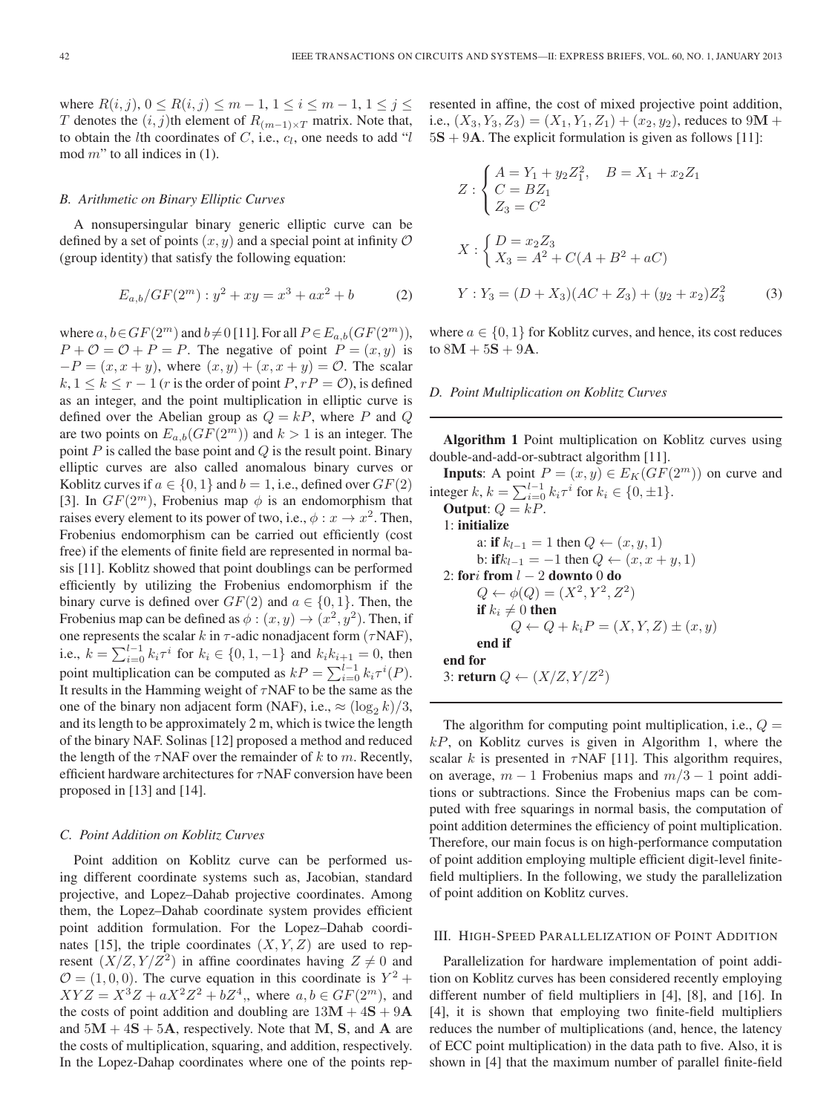where  $R(i, j), 0 \leq R(i, j) \leq m - 1, 1 \leq i \leq m - 1, 1 \leq j \leq n$ T denotes the  $(i, j)$ th element of  $R_{(m-1)\times T}$  matrix. Note that, to obtain the *l*th coordinates of  $C$ , i.e.,  $c_l$ , one needs to add "*l* mod  $m$ " to all indices in (1).

#### *B. Arithmetic on Binary Elliptic Curves*

A nonsupersingular binary generic elliptic curve can be defined by a set of points  $(x, y)$  and a special point at infinity  $\mathcal O$ (group identity) that satisfy the following equation:

$$
E_{a,b}/GF(2^m): y^2 + xy = x^3 + ax^2 + b \tag{2}
$$

where  $a, b \in GF(2^m)$  and  $b \neq 0$  [11]. For all  $P \in E_{a,b}(GF(2^m))$ ,  $P + \mathcal{O} = \mathcal{O} + P = P$ . The negative of point  $P = (x, y)$  is  $-P = (x, x + y)$ , where  $(x, y) + (x, x + y) = \mathcal{O}$ . The scalar  $k, 1 \leq k \leq r-1$  (*r* is the order of point *P*,  $rP = \mathcal{O}$ ), is defined as an integer, and the point multiplication in elliptic curve is defined over the Abelian group as  $Q = kP$ , where P and Q are two points on  $E_{a,b}(GF(2^m))$  and  $k > 1$  is an integer. The point  $P$  is called the base point and  $Q$  is the result point. Binary elliptic curves are also called anomalous binary curves or Koblitz curves if  $a \in \{0, 1\}$  and  $b = 1$ , i.e., defined over  $GF(2)$ [3]. In  $GF(2^m)$ , Frobenius map  $\phi$  is an endomorphism that raises every element to its power of two, i.e.,  $\phi: x \to x^2$ . Then, Frobenius endomorphism can be carried out efficiently (cost free) if the elements of finite field are represented in normal basis [11]. Koblitz showed that point doublings can be performed efficiently by utilizing the Frobenius endomorphism if the binary curve is defined over  $GF(2)$  and  $a \in \{0, 1\}$ . Then, the Frobenius map can be defined as  $\phi$  :  $(x, y) \rightarrow (x^2, y^2)$ . Then, if one represents the scalar k in  $\tau$ -adic nonadjacent form ( $\tau$ NAF), i.e.,  $k = \sum_{i=0}^{l-1} k_i \tau^i$  for  $k_i \in \{0, 1, -1\}$  and  $k_i k_{i+1} = 0$ , then point multiplication can be computed as  $kP = \sum_{i=0}^{l-1} k_i \tau^i(P)$ . It results in the Hamming weight of  $\tau$ NAF to be the same as the one of the binary non adjacent form (NAF), i.e.,  $\approx (\log_2 k)/3$ , and its length to be approximately 2 m, which is twice the length of the binary NAF. Solinas [12] proposed a method and reduced the length of the  $\tau$ NAF over the remainder of k to m. Recently, efficient hardware architectures for  $\tau$ NAF conversion have been proposed in [13] and [14].

# *C. Point Addition on Koblitz Curves*

Point addition on Koblitz curve can be performed using different coordinate systems such as, Jacobian, standard projective, and Lopez–Dahab projective coordinates. Among them, the Lopez–Dahab coordinate system provides efficient point addition formulation. For the Lopez–Dahab coordinates [15], the triple coordinates  $(X, Y, Z)$  are used to represent  $(X/Z, Y/Z^2)$  in affine coordinates having  $Z \neq 0$  and  $\mathcal{O} = (1, 0, 0)$ . The curve equation in this coordinate is  $Y^2$  +  $XYZ = X^3Z + aX^2Z^2 + bZ^4$ , where  $a, b \in GF(2^m)$ , and the costs of point addition and doubling are  $13M + 4S + 9A$ and  $5M + 4S + 5A$ , respectively. Note that M, S, and A are the costs of multiplication, squaring, and addition, respectively. In the Lopez-Dahap coordinates where one of the points represented in affine, the cost of mixed projective point addition, i.e.,  $(X_3, Y_3, Z_3) = (X_1, Y_1, Z_1) + (x_2, y_2)$ , reduces to 9**M** + 5**S** + 9**A**. The explicit formulation is given as follows [11]:

$$
Z: \begin{cases} A = Y_1 + y_2 Z_1^2, & B = X_1 + x_2 Z_1 \\ C = B Z_1 \\ Z_3 = C^2 \end{cases}
$$
  

$$
X: \begin{cases} D = x_2 Z_3 \\ X_3 = A^2 + C(A + B^2 + aC) \end{cases}
$$
  

$$
Y: Y_3 = (D + X_3)(AC + Z_3) + (y_2 + x_2)Z_3^2 \tag{3}
$$

where  $a \in \{0, 1\}$  for Koblitz curves, and hence, its cost reduces to  $8M + 5S + 9A$ .

### *D. Point Multiplication on Koblitz Curves*

**Algorithm 1** Point multiplication on Koblitz curves using double-and-add-or-subtract algorithm [11].

**Inputs**: A point  $P = (x, y) \in E_K(GF(2^m))$  on curve and integer  $k, k = \sum_{i=0}^{l-1} k_i \tau^i$  for  $k_i \in \{0, \pm 1\}.$ **Output**:  $Q = kP$ . 1: **initialize** a: **if**  $k_{l-1} = 1$  then  $Q \leftarrow (x, y, 1)$ **b: if** $k_{l-1} = -1$  then  $Q \leftarrow (x, x + y, 1)$ 2: **for**i **from** l − 2 **downto** 0 **do**

$$
Q \leftarrow \phi(Q) = (X^2, Y^2, Z^2)
$$
  
if  $k_i \neq 0$  then  

$$
Q \leftarrow Q + k_i P = (X, Y, Z) \pm (x, y)
$$
  
end if  
end for  
3: return  $Q \leftarrow (X/Z, Y/Z^2)$ 

The algorithm for computing point multiplication, i.e.,  $Q =$  $kP$ , on Koblitz curves is given in Algorithm 1, where the scalar k is presented in  $\tau$ NAF [11]. This algorithm requires, on average,  $m - 1$  Frobenius maps and  $m/3 - 1$  point additions or subtractions. Since the Frobenius maps can be computed with free squarings in normal basis, the computation of point addition determines the efficiency of point multiplication. Therefore, our main focus is on high-performance computation of point addition employing multiple efficient digit-level finitefield multipliers. In the following, we study the parallelization of point addition on Koblitz curves.

# III. HIGH-SPEED PARALLELIZATION OF POINT ADDITION

Parallelization for hardware implementation of point addition on Koblitz curves has been considered recently employing different number of field multipliers in [4], [8], and [16]. In [4], it is shown that employing two finite-field multipliers reduces the number of multiplications (and, hence, the latency of ECC point multiplication) in the data path to five. Also, it is shown in [4] that the maximum number of parallel finite-field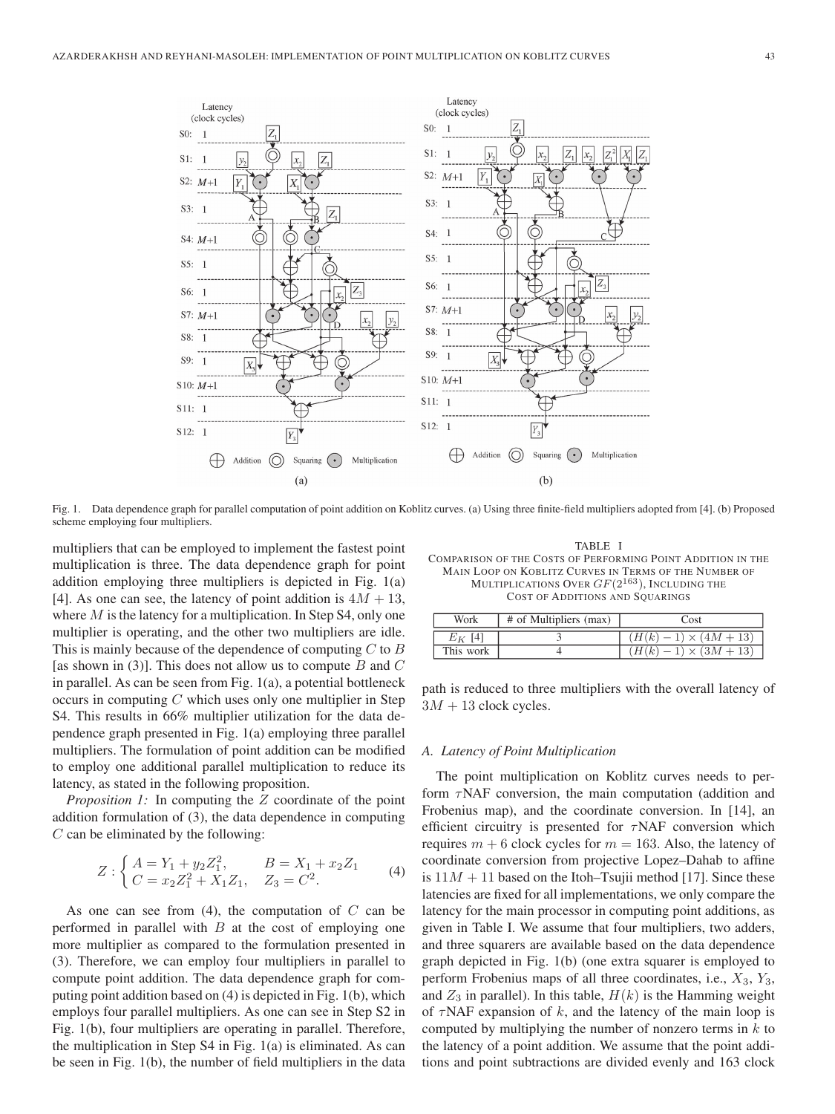

Fig. 1. Data dependence graph for parallel computation of point addition on Koblitz curves. (a) Using three finite-field multipliers adopted from [4]. (b) Proposed scheme employing four multipliers.

multipliers that can be employed to implement the fastest point multiplication is three. The data dependence graph for point addition employing three multipliers is depicted in Fig. 1(a) [4]. As one can see, the latency of point addition is  $4M + 13$ , where  $M$  is the latency for a multiplication. In Step S4, only one multiplier is operating, and the other two multipliers are idle. This is mainly because of the dependence of computing  $C$  to  $B$ [as shown in (3)]. This does not allow us to compute  $B$  and  $C$ in parallel. As can be seen from Fig. 1(a), a potential bottleneck occurs in computing  $C$  which uses only one multiplier in Step S4. This results in 66% multiplier utilization for the data dependence graph presented in Fig. 1(a) employing three parallel multipliers. The formulation of point addition can be modified to employ one additional parallel multiplication to reduce its latency, as stated in the following proposition.

*Proposition 1:* In computing the Z coordinate of the point addition formulation of (3), the data dependence in computing  $C$  can be eliminated by the following:

$$
Z: \begin{cases} A = Y_1 + y_2 Z_1^2, & B = X_1 + x_2 Z_1 \\ C = x_2 Z_1^2 + X_1 Z_1, & Z_3 = C^2. \end{cases}
$$
 (4)

As one can see from  $(4)$ , the computation of  $C$  can be performed in parallel with  $B$  at the cost of employing one more multiplier as compared to the formulation presented in (3). Therefore, we can employ four multipliers in parallel to compute point addition. The data dependence graph for computing point addition based on (4) is depicted in Fig. 1(b), which employs four parallel multipliers. As one can see in Step S2 in Fig. 1(b), four multipliers are operating in parallel. Therefore, the multiplication in Step S4 in Fig. 1(a) is eliminated. As can be seen in Fig. 1(b), the number of field multipliers in the data

TABLE I COMPARISON OF THE COSTS OF PERFORMING POINT ADDITION IN THE MAIN LOOP ON KOBLITZ CURVES IN TERMS OF THE NUMBER OF MULTIPLICATIONS OVER  $GF(2^{163})$ , INCLUDING THE COST OF ADDITIONS AND SQUARINGS

| Work                    | # of Multipliers (max) | Cost           |  |  |  |
|-------------------------|------------------------|----------------|--|--|--|
| [4]<br>$E_{\mathbf{k}}$ |                        | 4M<br>$\kappa$ |  |  |  |
| This work               |                        | k              |  |  |  |

path is reduced to three multipliers with the overall latency of  $3M + 13$  clock cycles.

#### *A. Latency of Point Multiplication*

The point multiplication on Koblitz curves needs to perform  $\tau$ NAF conversion, the main computation (addition and Frobenius map), and the coordinate conversion. In [14], an efficient circuitry is presented for  $\tau$ NAF conversion which requires  $m + 6$  clock cycles for  $m = 163$ . Also, the latency of coordinate conversion from projective Lopez–Dahab to affine is  $11M + 11$  based on the Itoh–Tsujii method [17]. Since these latencies are fixed for all implementations, we only compare the latency for the main processor in computing point additions, as given in Table I. We assume that four multipliers, two adders, and three squarers are available based on the data dependence graph depicted in Fig. 1(b) (one extra squarer is employed to perform Frobenius maps of all three coordinates, i.e.,  $X_3$ ,  $Y_3$ , and  $Z_3$  in parallel). In this table,  $H(k)$  is the Hamming weight of  $\tau$ NAF expansion of k, and the latency of the main loop is computed by multiplying the number of nonzero terms in  $k$  to the latency of a point addition. We assume that the point additions and point subtractions are divided evenly and 163 clock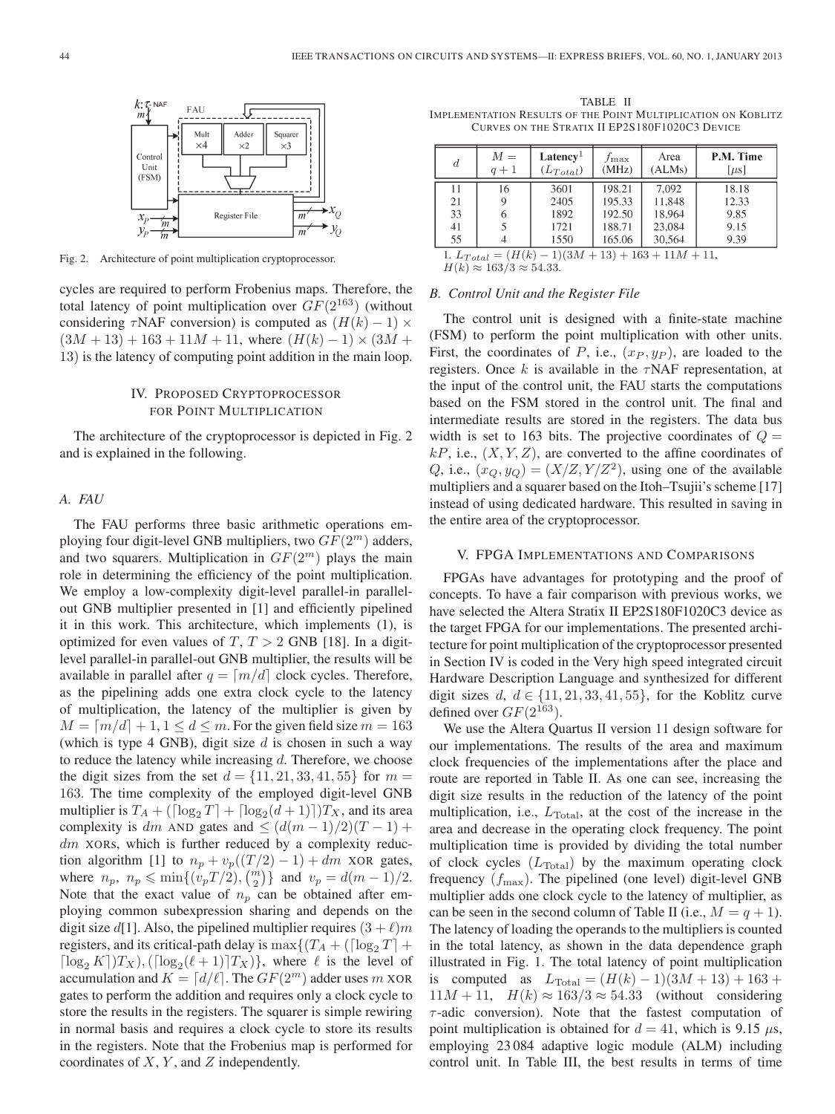

Fig. 2. Architecture of point multiplication cryptoprocessor.

cycles are required to perform Frobenius maps. Therefore, the total latency of point multiplication over  $GF(2^{163})$  (without considering  $\tau$ NAF conversion) is computed as  $(H(k) - 1) \times$  $(3M + 13) + 163 + 11M + 11$ , where  $(H(k) - 1) \times (3M +$ 13) is the latency of computing point addition in the main loop.

# IV. PROPOSED CRYPTOPROCESSOR FOR POINT MULTIPLICATION

The architecture of the cryptoprocessor is depicted in Fig. 2 and is explained in the following.

# *A. FAU*

The FAU performs three basic arithmetic operations employing four digit-level GNB multipliers, two  $GF(2<sup>m</sup>)$  adders, and two squarers. Multiplication in  $GF(2<sup>m</sup>)$  plays the main role in determining the efficiency of the point multiplication. We employ a low-complexity digit-level parallel-in parallelout GNB multiplier presented in [1] and efficiently pipelined it in this work. This architecture, which implements (1), is optimized for even values of T,  $T > 2$  GNB [18]. In a digitlevel parallel-in parallel-out GNB multiplier, the results will be available in parallel after  $q = \lceil m/d \rceil$  clock cycles. Therefore, as the pipelining adds one extra clock cycle to the latency of multiplication, the latency of the multiplier is given by  $M = \lceil m/d \rceil + 1, 1 \le d \le m$ . For the given field size  $m = 163$ (which is type 4 GNB), digit size  $d$  is chosen in such a way to reduce the latency while increasing  $d$ . Therefore, we choose the digit sizes from the set  $d = \{11, 21, 33, 41, 55\}$  for  $m =$ 163. The time complexity of the employed digit-level GNB multiplier is  $T_A + (\lceil \log_2 T \rceil + \lceil \log_2(d+1) \rceil)T_X$ , and its area complexity is dm AND gates and  $\leq (d(m-1)/2)(T-1) +$  $dm$  XORs, which is further reduced by a complexity reduction algorithm [1] to  $n_p + v_p((T/2) - 1) + dm$  XOR gates, where  $n_p, n_p \le \min\{(v_p T/2), \binom{m}{2}\}\$  and  $v_p = d(m-1)/2$ . Note that the exact value of  $n_p$  can be obtained after employing common subexpression sharing and depends on the digit size d[1]. Also, the pipelined multiplier requires  $(3 + \ell)m$ registers, and its critical-path delay is  $\max\{(T_A + (\lceil \log_2 T \rceil +$  $\lceil \log_2 K \rceil$ ) $T_X$ ),  $\left( \lceil \log_2(\ell+1) \rceil T_X \right)$ , where  $\ell$  is the level of accumulation and  $K = \lfloor d/\ell \rfloor$ . The  $GF(2^m)$  adder uses m XOR gates to perform the addition and requires only a clock cycle to store the results in the registers. The squarer is simple rewiring in normal basis and requires a clock cycle to store its results in the registers. Note that the Frobenius map is performed for coordinates of  $X, Y$ , and  $Z$  independently.

TABLE II IMPLEMENTATION RESULTS OF THE POINT MULTIPLICATION ON KOBLITZ CURVES ON THE STRATIX II EP2S180F1020C3 DEVICE

| $\boldsymbol{d}$ | $M =$<br>$q+1$ | Latency <sup>1</sup><br>$(L_{Total})$ | ./max<br>(MHz) | Area<br>(ALMs) | P.M. Time<br>$\mu$ s |
|------------------|----------------|---------------------------------------|----------------|----------------|----------------------|
| 11               | 16             | 3601                                  | 198.21         | 7.092          | 18.18                |
| 21               |                | 2405                                  | 195.33         | 11,848         | 12.33                |
| 33               |                | 1892                                  | 192.50         | 18,964         | 9.85                 |
| 41               |                | 1721                                  | 188.71         | 23,084         | 9.15                 |
| 55               |                | 1550                                  | 165.06         | 30,564         | 9.39                 |

1.  $L_{Total} = (H(k) - 1)(3M + 13) + 163 + 11M + 11,$  $H(k) \approx 163/3 \approx 54.33$ .

# *B. Control Unit and the Register File*

The control unit is designed with a finite-state machine (FSM) to perform the point multiplication with other units. First, the coordinates of P, i.e.,  $(x_P, y_P)$ , are loaded to the registers. Once k is available in the  $\tau$ NAF representation, at the input of the control unit, the FAU starts the computations based on the FSM stored in the control unit. The final and intermediate results are stored in the registers. The data bus width is set to 163 bits. The projective coordinates of  $Q =$  $kP$ , i.e.,  $(X, Y, Z)$ , are converted to the affine coordinates of Q, i.e.,  $(x_O, y_O) = (X/Z, Y/Z^2)$ , using one of the available multipliers and a squarer based on the Itoh–Tsujii's scheme [17] instead of using dedicated hardware. This resulted in saving in the entire area of the cryptoprocessor.

# V. FPGA IMPLEMENTATIONS AND COMPARISONS

FPGAs have advantages for prototyping and the proof of concepts. To have a fair comparison with previous works, we have selected the Altera Stratix II EP2S180F1020C3 device as the target FPGA for our implementations. The presented architecture for point multiplication of the cryptoprocessor presented in Section IV is coded in the Very high speed integrated circuit Hardware Description Language and synthesized for different digit sizes  $d, d \in \{11, 21, 33, 41, 55\}$ , for the Koblitz curve defined over  $GF(2^{163})$ .

We use the Altera Quartus II version 11 design software for our implementations. The results of the area and maximum clock frequencies of the implementations after the place and route are reported in Table II. As one can see, increasing the digit size results in the reduction of the latency of the point multiplication, i.e.,  $L_{\text{Total}}$ , at the cost of the increase in the area and decrease in the operating clock frequency. The point multiplication time is provided by dividing the total number of clock cycles  $(L_{\text{Total}})$  by the maximum operating clock frequency  $(f_{\text{max}})$ . The pipelined (one level) digit-level GNB multiplier adds one clock cycle to the latency of multiplier, as can be seen in the second column of Table II (i.e.,  $M = q + 1$ ). The latency of loading the operands to the multipliers is counted in the total latency, as shown in the data dependence graph illustrated in Fig. 1. The total latency of point multiplication is computed as  $L_{\text{Total}} = (H(k) - 1)(3M + 13) + 163 +$  $11M + 11$ ,  $H(k) \approx 163/3 \approx 54.33$  (without considering  $\tau$ -adic conversion). Note that the fastest computation of point multiplication is obtained for  $d = 41$ , which is 9.15  $\mu$ s, employing 23 084 adaptive logic module (ALM) including control unit. In Table III, the best results in terms of time